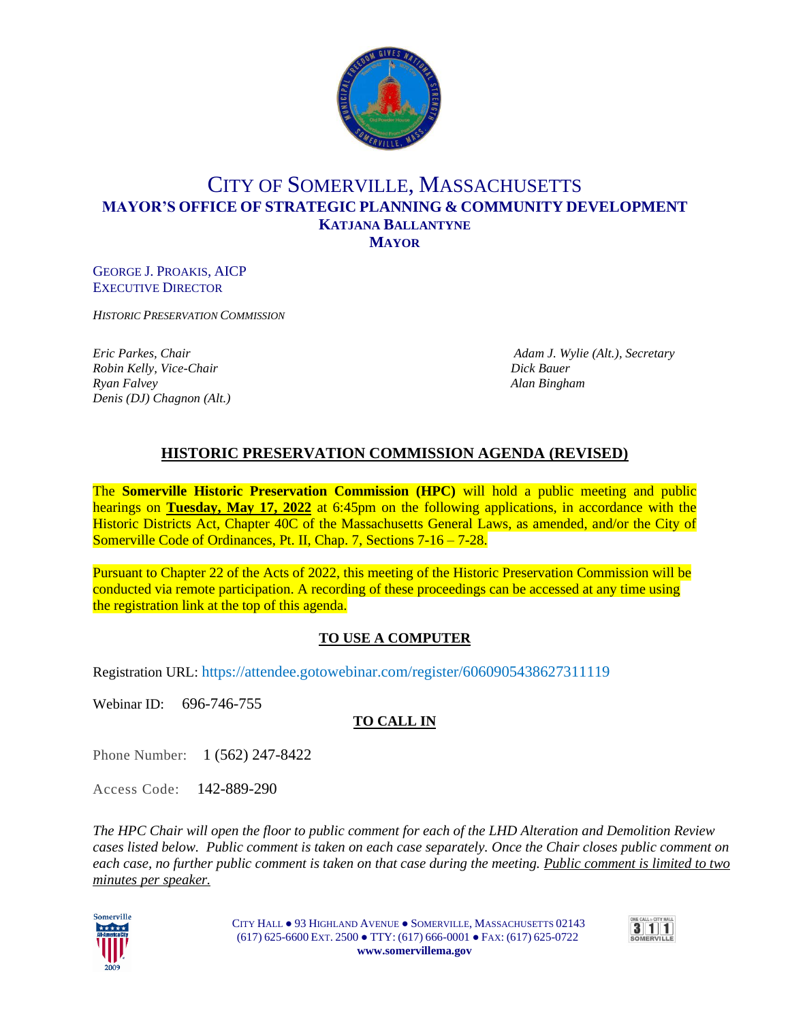

## CITY OF SOMERVILLE, MASSACHUSETTS **MAYOR'S OFFICE OF STRATEGIC PLANNING & COMMUNITY DEVELOPMENT KATJANA BALLANTYNE MAYOR**

GEORGE J. PROAKIS, AICP EXECUTIVE DIRECTOR

*HISTORIC PRESERVATION COMMISSION*

*Robin Kelly, Vice-Chair Dick Bauer Ryan Falvey Alan Bingham Denis (DJ) Chagnon (Alt.)*

*Eric Parkes, Chair Adam J. Wylie (Alt.), Secretary*

## **HISTORIC PRESERVATION COMMISSION AGENDA (REVISED)**

The **Somerville Historic Preservation Commission (HPC)** will hold a public meeting and public hearings on **Tuesday, May 17, 2022** at 6:45pm on the following applications, in accordance with the Historic Districts Act, Chapter 40C of the Massachusetts General Laws, as amended, and/or the City of Somerville Code of Ordinances, Pt. II, Chap. 7, Sections 7-16 – 7-28.

Pursuant to Chapter 22 of the Acts of 2022, this meeting of the Historic Preservation Commission will be conducted via remote participation. A recording of these proceedings can be accessed at any time using the registration link at the top of this agenda.

### **TO USE A COMPUTER**

Registration URL: https://attendee.gotowebinar.com/register/6060905438627311119

Webinar ID: 696-746-755

### **TO CALL IN**

Phone Number: 1 (562) 247-8422

Access Code:142-889-290

*The HPC Chair will open the floor to public comment for each of the LHD Alteration and Demolition Review cases listed below. Public comment is taken on each case separately. Once the Chair closes public comment on each case, no further public comment is taken on that case during the meeting. Public comment is limited to two minutes per speaker.*



CITY HALL ● 93 HIGHLAND AVENUE ● SOMERVILLE, MASSACHUSETTS 02143 (617) 625-6600 EXT. 2500 ● TTY: (617) 666-0001 ● FAX: (617) 625-0722  **www.somervillema.gov**

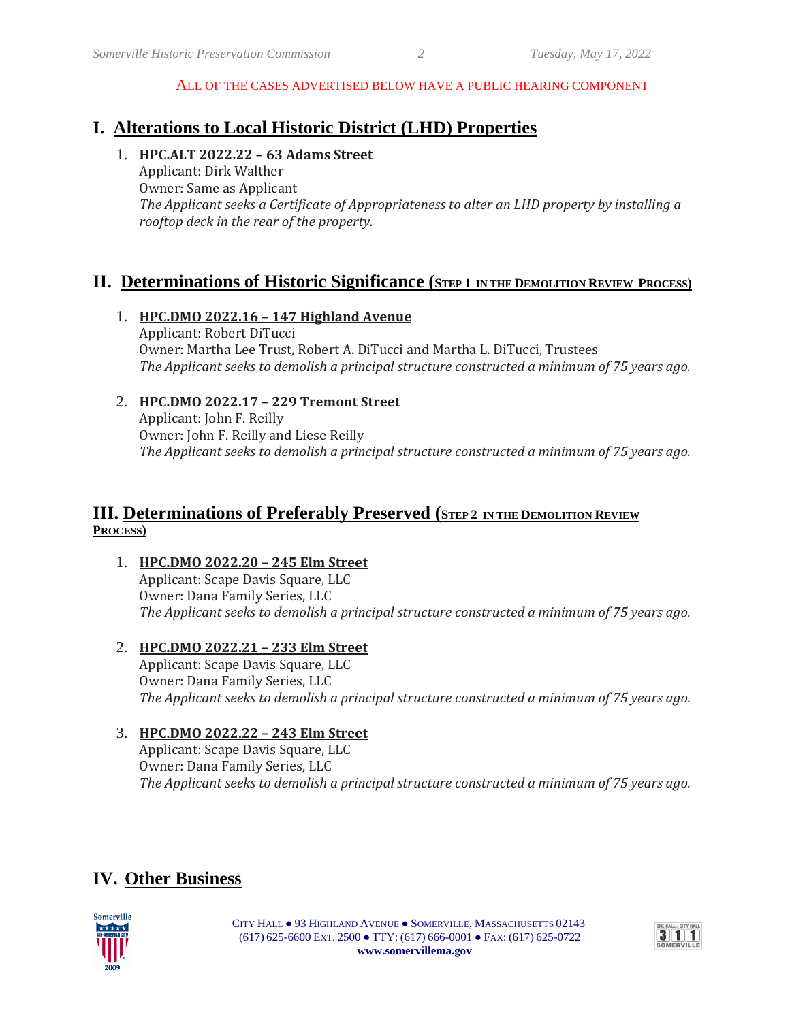#### ALL OF THE CASES ADVERTISED BELOW HAVE A PUBLIC HEARING COMPONENT

## **I. Alterations to Local Historic District (LHD) Properties**

#### 1. **HPC.ALT 2022.22 – 63 Adams Street**

Applicant: Dirk Walther Owner: Same as Applicant *The Applicant seeks a Certificate of Appropriateness to alter an LHD property by installing a rooftop deck in the rear of the property.*

### **II. Determinations of Historic Significance** (STEP 1 IN THE DEMOLITION REVIEW PROCESS)

#### 1. **HPC.DMO 2022.16 – 147 Highland Avenue** Applicant: Robert DiTucci Owner: Martha Lee Trust, Robert A. DiTucci and Martha L. DiTucci, Trustees *The Applicant seeks to demolish a principal structure constructed a minimum of 75 years ago.*

#### 2. **HPC.DMO 2022.17 – 229 Tremont Street**

Applicant: John F. Reilly Owner: John F. Reilly and Liese Reilly *The Applicant seeks to demolish a principal structure constructed a minimum of 75 years ago.*

### **III.** Determinations of Preferably Preserved (STEP<sub>2</sub> IN THE DEMOLITION REVIEW **PROCESS)**

1. **HPC.DMO 2022.20 – 245 Elm Street**

Applicant: Scape Davis Square, LLC Owner: Dana Family Series, LLC *The Applicant seeks to demolish a principal structure constructed a minimum of 75 years ago.*

2. **HPC.DMO 2022.21 – 233 Elm Street** Applicant: Scape Davis Square, LLC Owner: Dana Family Series, LLC *The Applicant seeks to demolish a principal structure constructed a minimum of 75 years ago.*

#### 3. **HPC.DMO 2022.22 – 243 Elm Street**

Applicant: Scape Davis Square, LLC Owner: Dana Family Series, LLC *The Applicant seeks to demolish a principal structure constructed a minimum of 75 years ago.*

## **IV. Other Business**



CITY HALL ● 93 HIGHLAND AVENUE ● SOMERVILLE, MASSACHUSETTS 02143 (617) 625-6600 EXT. 2500 ● TTY: (617) 666-0001 ● FAX: (617) 625-0722  **www.somervillema.gov**